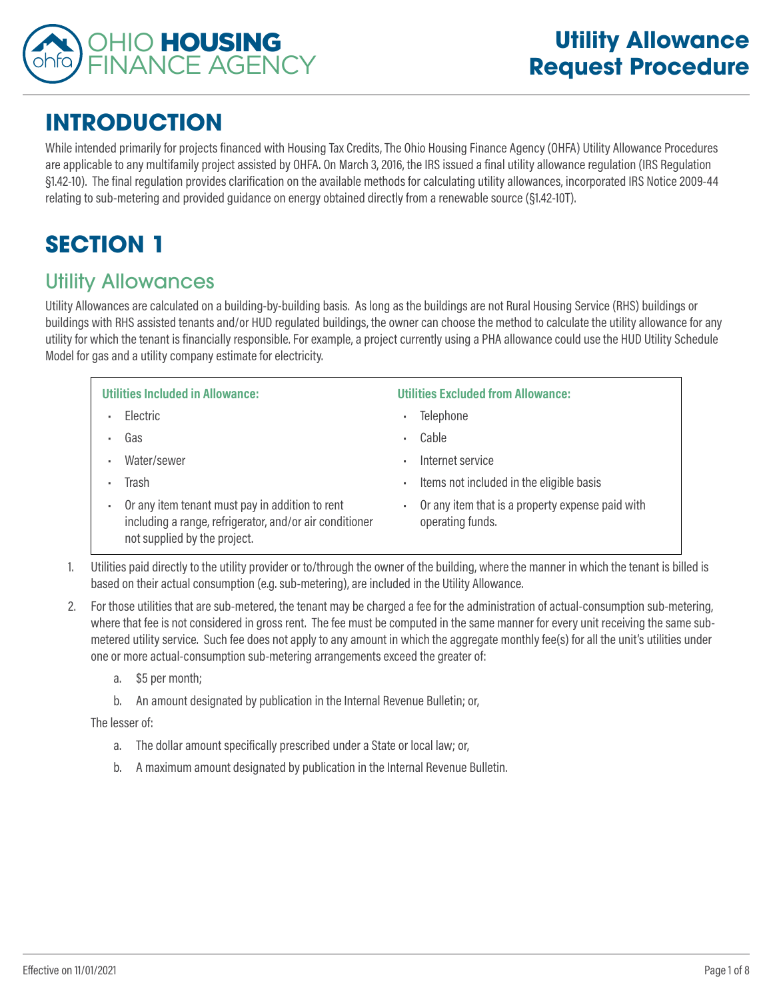

# **INTRODUCTION**

While intended primarily for projects financed with Housing Tax Credits, The Ohio Housing Finance Agency (OHFA) Utility Allowance Procedures are applicable to any multifamily project assisted by OHFA. On March 3, 2016, the IRS issued a final utility allowance regulation (IRS Regulation §1.42-10). The final regulation provides clarification on the available methods for calculating utility allowances, incorporated IRS Notice 2009-44 relating to sub-metering and provided guidance on energy obtained directly from a renewable source (§1.42-10T).

# **SECTION 1**

## Utility Allowances

Utility Allowances are calculated on a building-by-building basis. As long as the buildings are not Rural Housing Service (RHS) buildings or buildings with RHS assisted tenants and/or HUD regulated buildings, the owner can choose the method to calculate the utility allowance for any utility for which the tenant is financially responsible. For example, a project currently using a PHA allowance could use the HUD Utility Schedule Model for gas and a utility company estimate for electricity.

| <b>Utilities Included in Allowance:</b>                                                                                                         | <b>Utilities Excluded from Allowance:</b>                            |
|-------------------------------------------------------------------------------------------------------------------------------------------------|----------------------------------------------------------------------|
| Electric                                                                                                                                        | Telephone                                                            |
| Gas                                                                                                                                             | Cable                                                                |
| Water/sewer<br>٠                                                                                                                                | Internet service                                                     |
| Trash<br>л.                                                                                                                                     | Items not included in the eligible basis                             |
| Or any item tenant must pay in addition to rent<br>٠<br>including a range, refrigerator, and/or air conditioner<br>not supplied by the project. | Or any item that is a property expense paid with<br>operating funds. |

based on their actual consumption (e.g. sub-metering), are included in the Utility Allowance.

2. For those utilities that are sub-metered, the tenant may be charged a fee for the administration of actual-consumption sub-metering, where that fee is not considered in gross rent. The fee must be computed in the same manner for every unit receiving the same submetered utility service. Such fee does not apply to any amount in which the aggregate monthly fee(s) for all the unit's utilities under one or more actual-consumption sub-metering arrangements exceed the greater of:

- a. \$5 per month;
- b. An amount designated by publication in the Internal Revenue Bulletin; or,

The lesser of:

- a. The dollar amount specifically prescribed under a State or local law; or,
- b. A maximum amount designated by publication in the Internal Revenue Bulletin.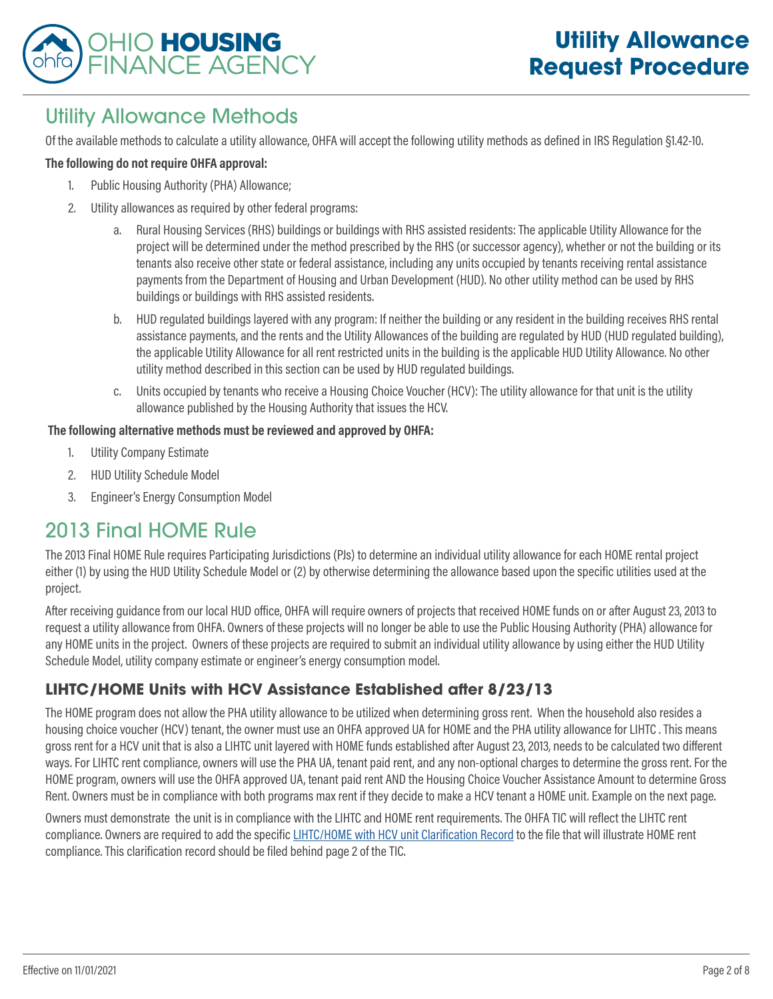

## Utility Allowance Methods

Of the available methods to calculate a utility allowance, OHFA will accept the following utility methods as defined in IRS Regulation §1.42-10.

#### **The following do not require OHFA approval:**

- 1. Public Housing Authority (PHA) Allowance;
- 2. Utility allowances as required by other federal programs:
	- a. Rural Housing Services (RHS) buildings or buildings with RHS assisted residents: The applicable Utility Allowance for the project will be determined under the method prescribed by the RHS (or successor agency), whether or not the building or its tenants also receive other state or federal assistance, including any units occupied by tenants receiving rental assistance payments from the Department of Housing and Urban Development (HUD). No other utility method can be used by RHS buildings or buildings with RHS assisted residents.
	- b. HUD regulated buildings layered with any program: If neither the building or any resident in the building receives RHS rental assistance payments, and the rents and the Utility Allowances of the building are regulated by HUD (HUD regulated building), the applicable Utility Allowance for all rent restricted units in the building is the applicable HUD Utility Allowance. No other utility method described in this section can be used by HUD regulated buildings.
	- c. Units occupied by tenants who receive a Housing Choice Voucher (HCV): The utility allowance for that unit is the utility allowance published by the Housing Authority that issues the HCV.

#### **The following alternative methods must be reviewed and approved by OHFA:**

- 1. Utility Company Estimate
- 2. HUD Utility Schedule Model
- 3. Engineer's Energy Consumption Model

### 2013 Final HOME Rule

The 2013 Final HOME Rule requires Participating Jurisdictions (PJs) to determine an individual utility allowance for each HOME rental project either (1) by using the HUD Utility Schedule Model or (2) by otherwise determining the allowance based upon the specific utilities used at the project.

After receiving guidance from our local HUD office, OHFA will require owners of projects that received HOME funds on or after August 23, 2013 to request a utility allowance from OHFA. Owners of these projects will no longer be able to use the Public Housing Authority (PHA) allowance for any HOME units in the project. Owners of these projects are required to submit an individual utility allowance by using either the HUD Utility Schedule Model, utility company estimate or engineer's energy consumption model.

#### **LIHTC/HOME Units with HCV Assistance Established after 8/23/13**

The HOME program does not allow the PHA utility allowance to be utilized when determining gross rent. When the household also resides a housing choice voucher (HCV) tenant, the owner must use an OHFA approved UA for HOME and the PHA utility allowance for LIHTC . This means gross rent for a HCV unit that is also a LIHTC unit layered with HOME funds established after August 23, 2013, needs to be calculated two different ways. For LIHTC rent compliance, owners will use the PHA UA, tenant paid rent, and any non-optional charges to determine the gross rent. For the HOME program, owners will use the OHFA approved UA, tenant paid rent AND the Housing Choice Voucher Assistance Amount to determine Gross Rent. Owners must be in compliance with both programs max rent if they decide to make a HCV tenant a HOME unit. Example on the next page.

Owners must demonstrate the unit is in compliance with the LIHTC and HOME rent requirements. The OHFA TIC will reflect the LIHTC rent compliance. Owners are required to add the specific [LIHTC/HOME with HCV unit Clarification Record](https://www.ohiohome.org/compliance/documents/PC-E37-LIHTC-HOME-HCV.pdf) to the file that will illustrate HOME rent compliance. This clarification record should be filed behind page 2 of the TIC.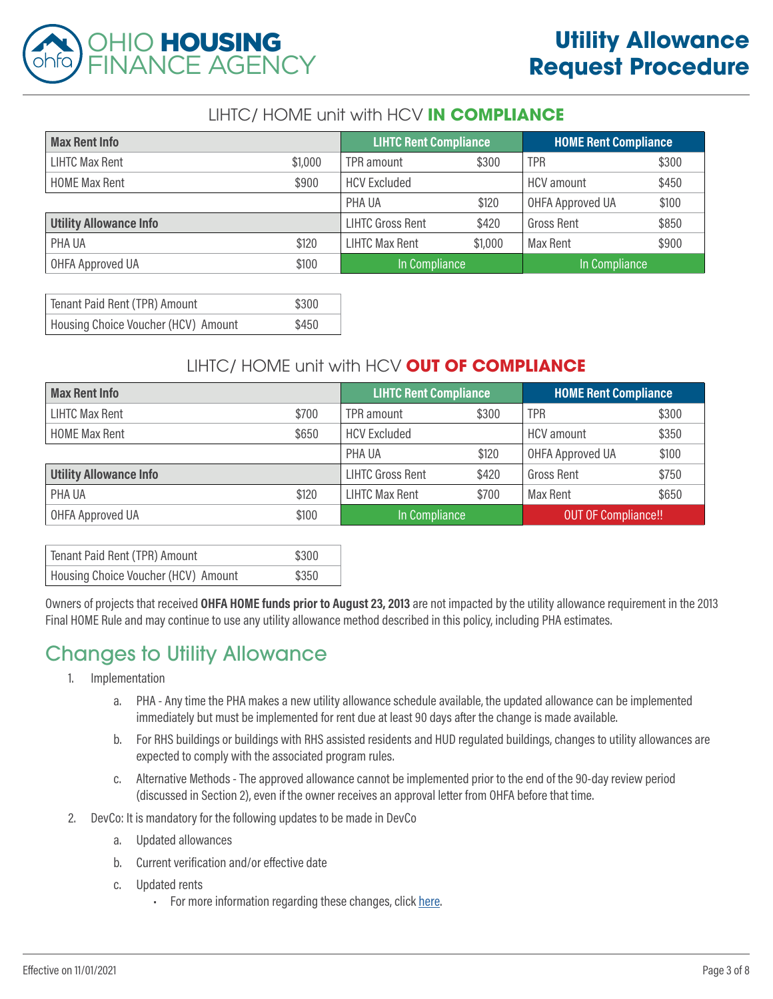

#### LIHTC/ HOME unit with HCV **IN COMPLIANCE**

| <b>Max Rent Info</b>          |         | <b>LIHTC Rent Compliance</b> |         | <b>HOME Rent Compliance</b> |       |
|-------------------------------|---------|------------------------------|---------|-----------------------------|-------|
| LIHTC Max Rent                | \$1,000 | TPR amount                   | \$300   | <b>TPR</b>                  | \$300 |
| <b>HOME Max Rent</b>          | \$900   | <b>HCV Excluded</b>          |         | HCV amount                  | \$450 |
|                               |         | PHA UA                       | \$120   | <b>OHFA Approved UA</b>     | \$100 |
| <b>Utility Allowance Info</b> |         | <b>LIHTC Gross Rent</b>      | \$420   | <b>Gross Rent</b>           | \$850 |
| PHA UA                        | \$120   | <b>LIHTC Max Rent</b>        | \$1,000 | Max Rent                    | \$900 |
| <b>OHFA Approved UA</b>       | \$100   | In Compliance                |         | In Compliance               |       |

| Tenant Paid Rent (TPR) Amount       | \$300 |
|-------------------------------------|-------|
| Housing Choice Voucher (HCV) Amount | \$450 |

#### LIHTC/ HOME unit with HCV **OUT OF COMPLIANCE**

| <b>Max Rent Info</b>          |       | <b>LIHTC Rent Compliance</b> |       | <b>HOME Rent Compliance</b> |       |
|-------------------------------|-------|------------------------------|-------|-----------------------------|-------|
| <b>LIHTC Max Rent</b>         | \$700 | TPR amount                   | \$300 | <b>TPR</b>                  | \$300 |
| <b>HOME Max Rent</b>          | \$650 | <b>HCV Excluded</b>          |       | <b>HCV</b> amount           | \$350 |
|                               |       | PHA UA                       | \$120 | OHFA Approved UA            | \$100 |
| <b>Utility Allowance Info</b> |       | <b>LIHTC Gross Rent</b>      | \$420 | <b>Gross Rent</b>           | \$750 |
| PHA UA                        | \$120 | <b>LIHTC Max Rent</b>        | \$700 | Max Rent                    | \$650 |
| OHFA Approved UA              | \$100 | In Compliance                |       | <b>OUT OF Compliance!!</b>  |       |

| Tenant Paid Rent (TPR) Amount       | \$300 |
|-------------------------------------|-------|
| Housing Choice Voucher (HCV) Amount | \$350 |

Owners of projects that received **OHFA HOME funds prior to August 23, 2013** are not impacted by the utility allowance requirement in the 2013 Final HOME Rule and may continue to use any utility allowance method described in this policy, including PHA estimates.

# Changes to Utility Allowance

- 1. Implementation
	- a. PHA Any time the PHA makes a new utility allowance schedule available, the updated allowance can be implemented immediately but must be implemented for rent due at least 90 days after the change is made available.
	- b. For RHS buildings or buildings with RHS assisted residents and HUD regulated buildings, changes to utility allowances are expected to comply with the associated program rules.
	- c. Alternative Methods The approved allowance cannot be implemented prior to the end of the 90-day review period (discussed in Section 2), even if the owner receives an approval letter from OHFA before that time.
- 2. DevCo: It is mandatory for the following updates to be made in DevCo
	- a. Updated allowances
	- b. Current verification and/or effective date
	- c. Updated rents
		- For more information regarding these changes, click [here.](https://ohiohome.org/devco/documents/Devco_SectionV.pdf)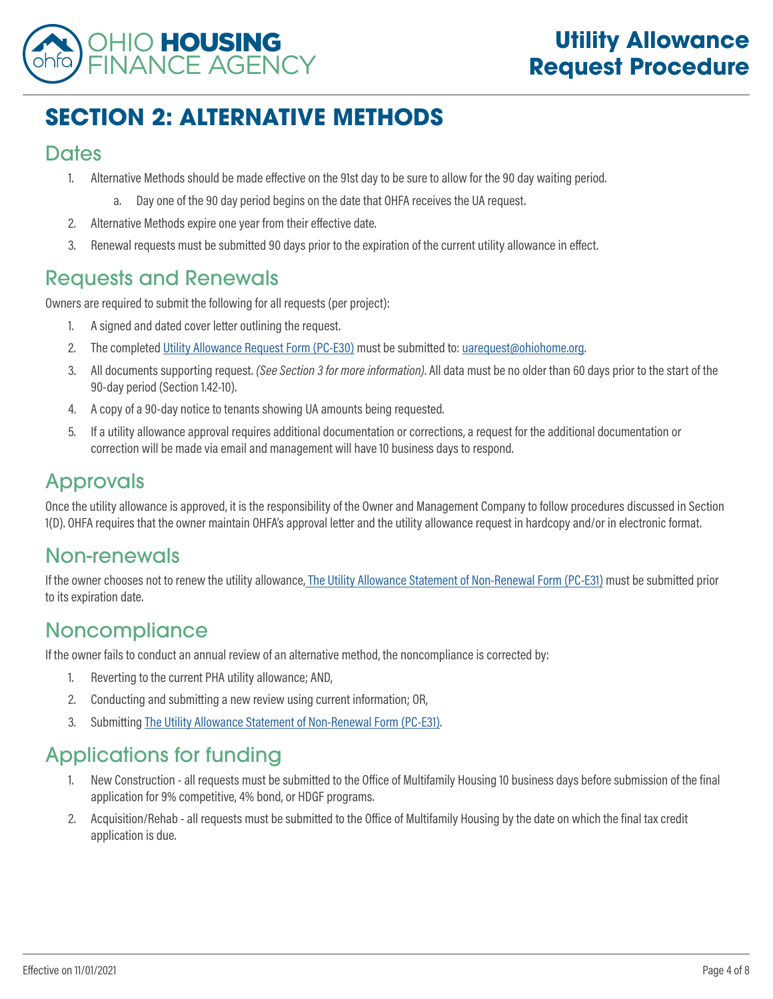

# **SECTION 2: ALTERNATIVE METHODS**

#### **Dates**

- 1. Alternative Methods should be made effective on the 91st day to be sure to allow for the 90 day waiting period.
	- a. Day one of the 90 day period begins on the date that OHFA receives the UA request.
- 2. Alternative Methods expire one year from their effective date.
- 3. Renewal requests must be submitted 90 days prior to the expiration of the current utility allowance in effect.

### Requests and Renewals

Owners are required to submit the following for all requests (per project):

- 1. A signed and dated cover letter outlining the request.
- 2. The completed [Utility Allowance Request Form \(PC-E30\)](http://ohiohome.org/compliance/documents/utilityallowanceform_PC-E30.pdf) must be submitted to: [uarequest@ohiohome.org.](mailto:uarequest%40ohiohome.org?subject=)
- 3. All documents supporting request. *(See Section 3 for more information)*. All data must be no older than 60 days prior to the start of the 90-day period (Section 1.42-10).
- 4. A copy of a 90-day notice to tenants showing UA amounts being requested.
- 5. If a utility allowance approval requires additional documentation or corrections, a request for the additional documentation or correction will be made via email and management will have 10 business days to respond.

## Approvals

Once the utility allowance is approved, it is the responsibility of the Owner and Management Company to follow procedures discussed in Section 1(D). OHFA requires that the owner maintain OHFA's approval letter and the utility allowance request in hardcopy and/or in electronic format.

### Non-renewals

If the owner chooses not to renew the utility allowance[, The Utility Allowance Statement of Non-Renewal Form \(PC-E31\)](http://ohiohome.org/compliance/documents/utilityallowancestatement_PC-E31.pdf) must be submitted prior to its expiration date.

### Noncompliance

If the owner fails to conduct an annual review of an alternative method, the noncompliance is corrected by:

- 1. Reverting to the current PHA utility allowance; AND,
- 2. Conducting and submitting a new review using current information; OR,
- 3. Submitting [The Utility Allowance Statement of Non-Renewal Form \(PC-E31\).](http://ohiohome.org/compliance/documents/utilityallowancestatement_PC-E31.pdf)

# Applications for funding

- 1. New Construction all requests must be submitted to the Office of Multifamily Housing 10 business days before submission of the final application for 9% competitive, 4% bond, or HDGF programs.
- 2. Acquisition/Rehab all requests must be submitted to the Office of Multifamily Housing by the date on which the final tax credit application is due.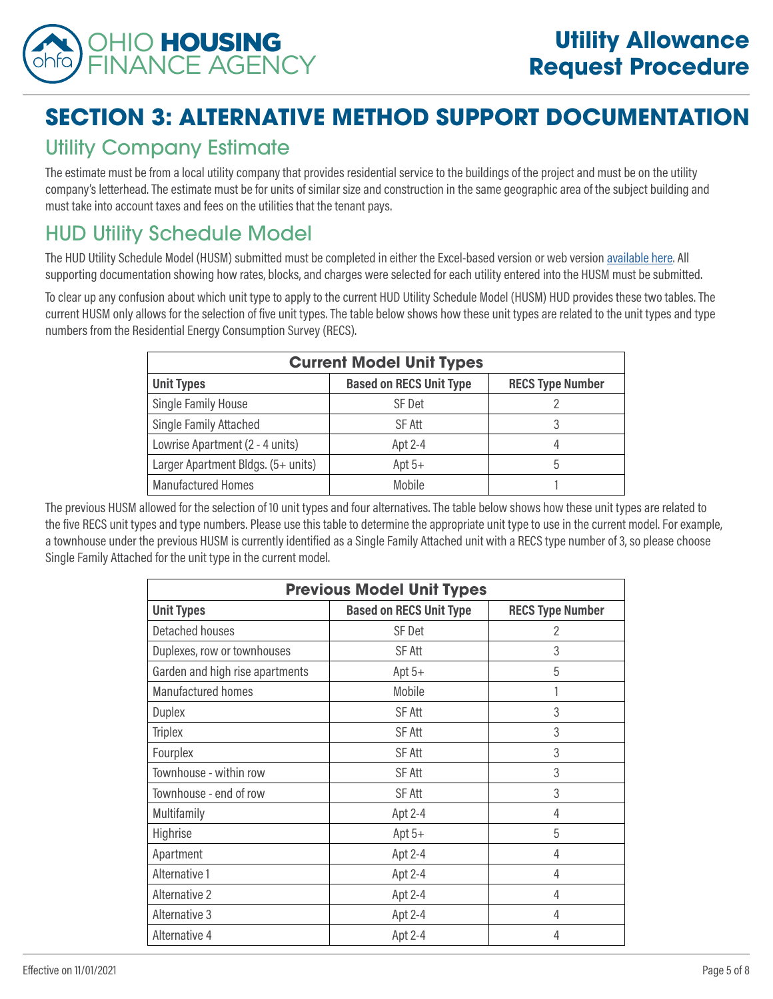

# **SECTION 3: ALTERNATIVE METHOD SUPPORT DOCUMENTATION**

## Utility Company Estimate

The estimate must be from a local utility company that provides residential service to the buildings of the project and must be on the utility company's letterhead. The estimate must be for units of similar size and construction in the same geographic area of the subject building and must take into account taxes and fees on the utilities that the tenant pays.

# HUD Utility Schedule Model

The HUD Utility Schedule Model (HUSM) submitted must be completed in either the Excel-based version or web version [available here](https://www.huduser.gov/portal/resources/utilallowance.html). All supporting documentation showing how rates, blocks, and charges were selected for each utility entered into the HUSM must be submitted.

To clear up any confusion about which unit type to apply to the current HUD Utility Schedule Model (HUSM) HUD provides these two tables. The current HUSM only allows for the selection of five unit types. The table below shows how these unit types are related to the unit types and type numbers from the Residential Energy Consumption Survey (RECS).

| <b>Current Model Unit Types</b>    |                                |                         |  |
|------------------------------------|--------------------------------|-------------------------|--|
| <b>Unit Types</b>                  | <b>Based on RECS Unit Type</b> | <b>RECS Type Number</b> |  |
| Single Family House                | SF Det                         |                         |  |
| Single Family Attached             | SF Att                         | 3                       |  |
| Lowrise Apartment (2 - 4 units)    | Apt 2-4                        | 4                       |  |
| Larger Apartment Bldgs. (5+ units) | Apt $5+$                       | 5                       |  |
| <b>Manufactured Homes</b>          | Mobile                         |                         |  |

The previous HUSM allowed for the selection of 10 unit types and four alternatives. The table below shows how these unit types are related to the five RECS unit types and type numbers. Please use this table to determine the appropriate unit type to use in the current model. For example, a townhouse under the previous HUSM is currently identified as a Single Family Attached unit with a RECS type number of 3, so please choose Single Family Attached for the unit type in the current model.

| <b>Previous Model Unit Types</b> |                                |                         |  |
|----------------------------------|--------------------------------|-------------------------|--|
| <b>Unit Types</b>                | <b>Based on RECS Unit Type</b> | <b>RECS Type Number</b> |  |
| Detached houses                  | SF Det                         | 2                       |  |
| Duplexes, row or townhouses      | SF Att                         | 3                       |  |
| Garden and high rise apartments  | Apt $5+$                       | 5                       |  |
| Manufactured homes               | Mobile                         | 1                       |  |
| <b>Duplex</b>                    | <b>SF Att</b>                  | 3                       |  |
| <b>Triplex</b>                   | SF Att                         | 3                       |  |
| Fourplex                         | SF Att                         | 3                       |  |
| Townhouse - within row           | <b>SF Att</b>                  | 3                       |  |
| Townhouse - end of row           | SF Att                         | 3                       |  |
| Multifamily                      | Apt 2-4                        | 4                       |  |
| Highrise                         | Apt $5+$                       | 5                       |  |
| Apartment                        | Apt 2-4                        | 4                       |  |
| Alternative 1                    | Apt 2-4                        | 4                       |  |
| Alternative 2                    | Apt 2-4                        | 4                       |  |
| Alternative 3                    | Apt 2-4                        | 4                       |  |
| Alternative 4                    | Apt 2-4                        | 4                       |  |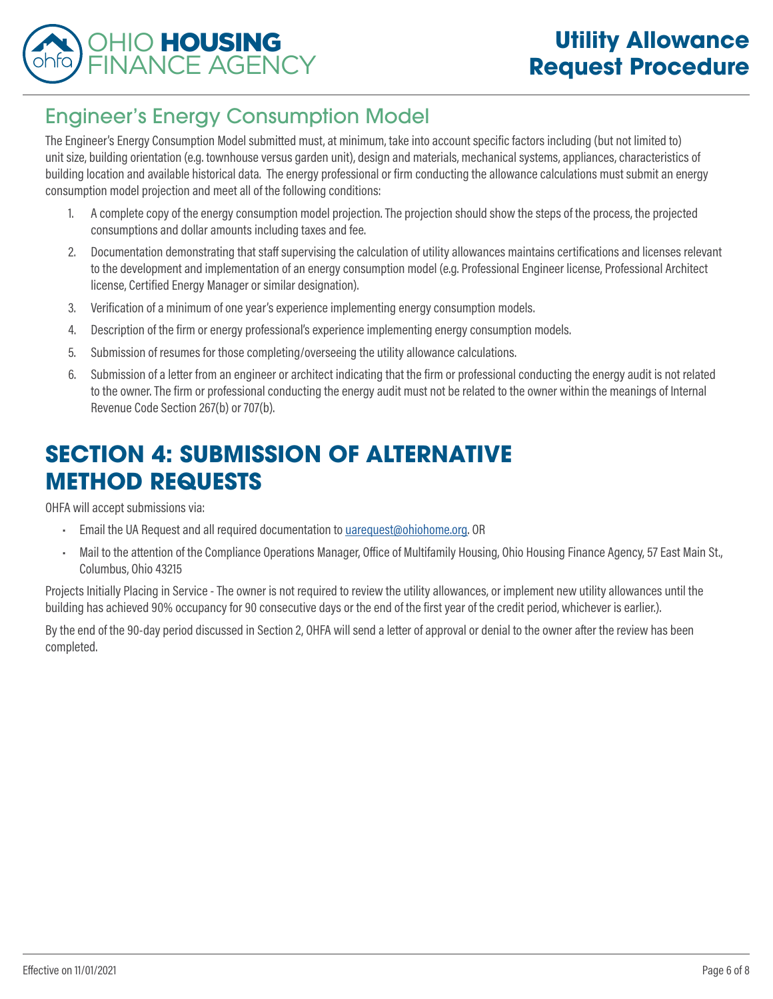

# Engineer's Energy Consumption Model

The Engineer's Energy Consumption Model submitted must, at minimum, take into account specific factors including (but not limited to) unit size, building orientation (e.g. townhouse versus garden unit), design and materials, mechanical systems, appliances, characteristics of building location and available historical data. The energy professional or firm conducting the allowance calculations must submit an energy consumption model projection and meet all of the following conditions:

- 1. A complete copy of the energy consumption model projection. The projection should show the steps of the process, the projected consumptions and dollar amounts including taxes and fee.
- 2. Documentation demonstrating that staff supervising the calculation of utility allowances maintains certifications and licenses relevant to the development and implementation of an energy consumption model (e.g. Professional Engineer license, Professional Architect license, Certified Energy Manager or similar designation).
- 3. Verification of a minimum of one year's experience implementing energy consumption models.
- 4. Description of the firm or energy professional's experience implementing energy consumption models.
- 5. Submission of resumes for those completing/overseeing the utility allowance calculations.
- 6. Submission of a letter from an engineer or architect indicating that the firm or professional conducting the energy audit is not related to the owner. The firm or professional conducting the energy audit must not be related to the owner within the meanings of Internal Revenue Code Section 267(b) or 707(b).

# **SECTION 4: SUBMISSION OF ALTERNATIVE METHOD REQUESTS**

OHFA will accept submissions via:

- Email the UA Request and all required documentation to [uarequest@ohiohome.org](mailto:uarequest%40ohiohome.org?subject=). OR
- Mail to the attention of the Compliance Operations Manager, Office of Multifamily Housing, Ohio Housing Finance Agency, 57 East Main St., Columbus, Ohio 43215

Projects Initially Placing in Service - The owner is not required to review the utility allowances, or implement new utility allowances until the building has achieved 90% occupancy for 90 consecutive days or the end of the first year of the credit period, whichever is earlier.).

By the end of the 90-day period discussed in Section 2, OHFA will send a letter of approval or denial to the owner after the review has been completed.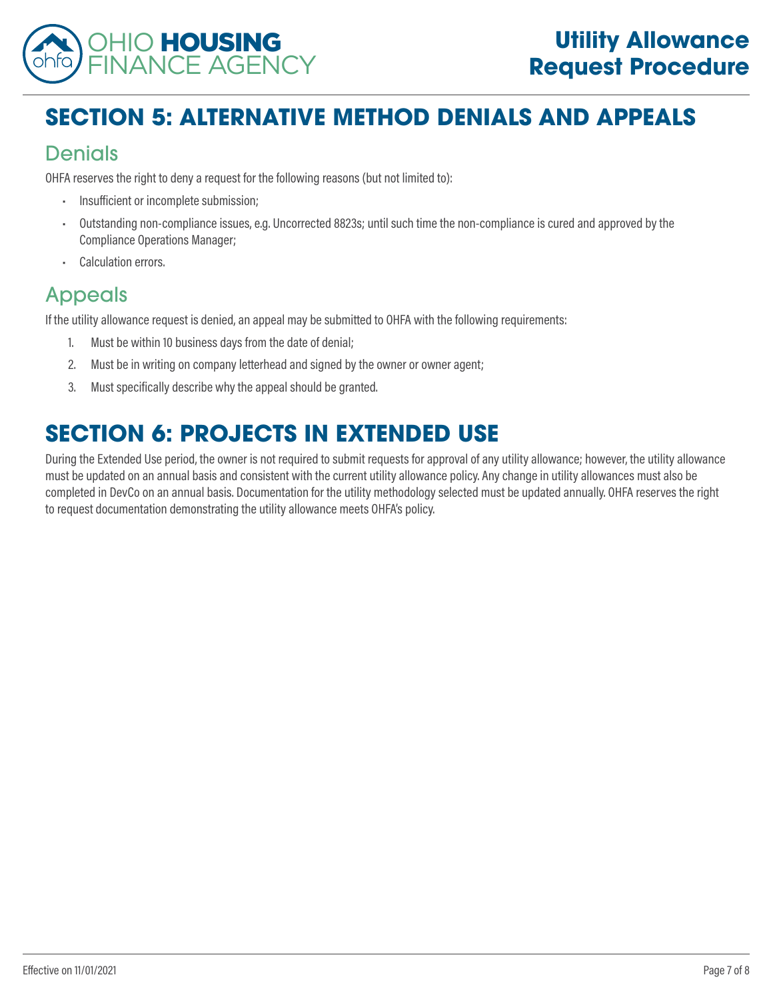

# **SECTION 5: ALTERNATIVE METHOD DENIALS AND APPEALS**

## Denials

OHFA reserves the right to deny a request for the following reasons (but not limited to):

- Insufficient or incomplete submission;
- Outstanding non-compliance issues, e.g. Uncorrected 8823s; until such time the non-compliance is cured and approved by the Compliance Operations Manager;
- Calculation errors.

# Appeals

If the utility allowance request is denied, an appeal may be submitted to OHFA with the following requirements:

- 1. Must be within 10 business days from the date of denial;
- 2. Must be in writing on company letterhead and signed by the owner or owner agent;
- 3. Must specifically describe why the appeal should be granted.

# **SECTION 6: PROJECTS IN EXTENDED USE**

During the Extended Use period, the owner is not required to submit requests for approval of any utility allowance; however, the utility allowance must be updated on an annual basis and consistent with the current utility allowance policy. Any change in utility allowances must also be completed in DevCo on an annual basis. Documentation for the utility methodology selected must be updated annually. OHFA reserves the right to request documentation demonstrating the utility allowance meets OHFA's policy.